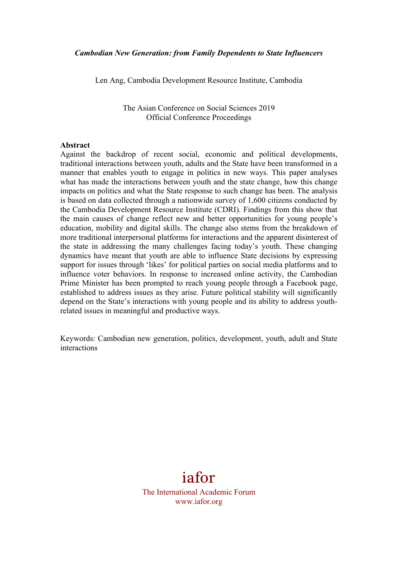Len Ang, Cambodia Development Resource Institute, Cambodia

The Asian Conference on Social Sciences 2019 Official Conference Proceedings

### **Abstract**

Against the backdrop of recent social, economic and political developments, traditional interactions between youth, adults and the State have been transformed in a manner that enables youth to engage in politics in new ways. This paper analyses what has made the interactions between youth and the state change, how this change impacts on politics and what the State response to such change has been. The analysis is based on data collected through a nationwide survey of 1,600 citizens conducted by the Cambodia Development Resource Institute (CDRI). Findings from this show that the main causes of change reflect new and better opportunities for young people's education, mobility and digital skills. The change also stems from the breakdown of more traditional interpersonal platforms for interactions and the apparent disinterest of the state in addressing the many challenges facing today's youth. These changing dynamics have meant that youth are able to influence State decisions by expressing support for issues through 'likes' for political parties on social media platforms and to influence voter behaviors. In response to increased online activity, the Cambodian Prime Minister has been prompted to reach young people through a Facebook page, established to address issues as they arise. Future political stability will significantly depend on the State's interactions with young people and its ability to address youthrelated issues in meaningful and productive ways.

Keywords: Cambodian new generation, politics, development, youth, adult and State interactions



The International Academic Forum www.iafor.org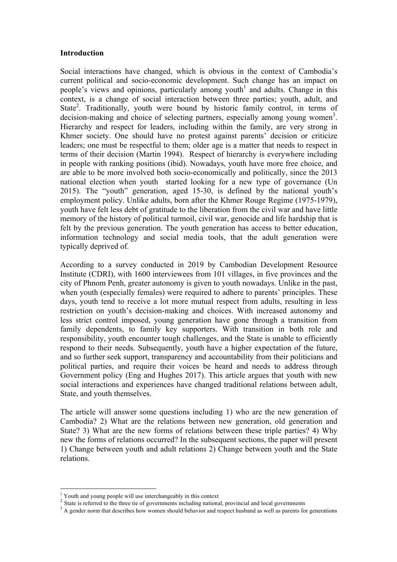### **Introduction**

Social interactions have changed, which is obvious in the context of Cambodia's current political and socio-economic development. Such change has an impact on people's views and opinions, particularly among youth<sup>1</sup> and adults. Change in this context, is a change of social interaction between three parties; youth, adult, and State<sup>2</sup>. Traditionally, youth were bound by historic family control, in terms of decision-making and choice of selecting partners, especially among young women<sup>3</sup>. Hierarchy and respect for leaders, including within the family, are very strong in Khmer society. One should have no protest against parents' decision or criticize leaders; one must be respectful to them; older age is a matter that needs to respect in terms of their decision (Martin 1994). Respect of hierarchy is everywhere including in people with ranking positions (ibid). Nowadays, youth have more free choice, and are able to be more involved both socio-economically and politically, since the 2013 national election when youth started looking for a new type of governance (Un 2015). The "youth" generation, aged 15-30, is defined by the national youth's employment policy. Unlike adults, born after the Khmer Rouge Regime (1975-1979), youth have felt less debt of gratitude to the liberation from the civil war and have little memory of the history of political turmoil, civil war, genocide and life hardship that is felt by the previous generation. The youth generation has access to better education, information technology and social media tools, that the adult generation were typically deprived of.

According to a survey conducted in 2019 by Cambodian Development Resource Institute (CDRI), with 1600 interviewees from 101 villages, in five provinces and the city of Phnom Penh, greater autonomy is given to youth nowadays. Unlike in the past, when youth (especially females) were required to adhere to parents' principles. These days, youth tend to receive a lot more mutual respect from adults, resulting in less restriction on youth's decision-making and choices. With increased autonomy and less strict control imposed, young generation have gone through a transition from family dependents, to family key supporters. With transition in both role and responsibility, youth encounter tough challenges, and the State is unable to efficiently respond to their needs. Subsequently, youth have a higher expectation of the future, and so further seek support, transparency and accountability from their politicians and political parties, and require their voices be heard and needs to address through Government policy (Eng and Hughes 2017). This article argues that youth with new social interactions and experiences have changed traditional relations between adult, State, and youth themselves.

The article will answer some questions including 1) who are the new generation of Cambodia? 2) What are the relations between new generation, old generation and State? 3) What are the new forms of relations between these triple parties? 4) Why new the forms of relations occurred? In the subsequent sections, the paper will present 1) Change between youth and adult relations 2) Change between youth and the State relations.

<u> 1989 - Johann Stein, fransk politik (d. 1989)</u>

<sup>1</sup> Youth and young people will use interchangeably in this context

<sup>&</sup>lt;sup>2</sup> State is referred to the three tie of governments including national, provincial and local governments

<sup>&</sup>lt;sup>3</sup> A gender norm that describes how women should behavior and respect husband as well as parents for generations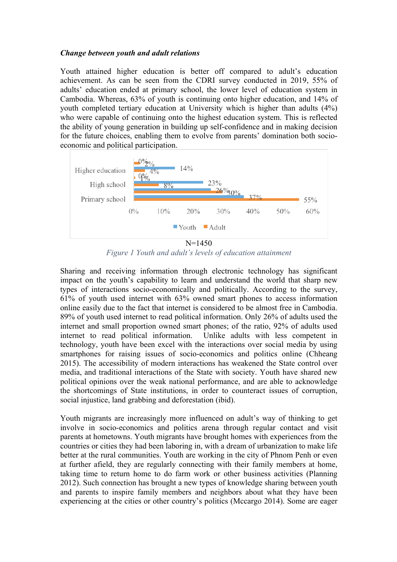## *Change between youth and adult relations*

Youth attained higher education is better off compared to adult's education achievement. As can be seen from the CDRI survey conducted in 2019, 55% of adults' education ended at primary school, the lower level of education system in Cambodia. Whereas, 63% of youth is continuing onto higher education, and 14% of youth completed tertiary education at University which is higher than adults (4%) who were capable of continuing onto the highest education system. This is reflected the ability of young generation in building up self-confidence and in making decision for the future choices, enabling them to evolve from parents' domination both socioeconomic and political participation.



*Figure 1 Youth and adult's levels of education attainment*

Sharing and receiving information through electronic technology has significant impact on the youth's capability to learn and understand the world that sharp new types of interactions socio-economically and politically. According to the survey, 61% of youth used internet with 63% owned smart phones to access information online easily due to the fact that internet is considered to be almost free in Cambodia. 89% of youth used internet to read political information. Only 26% of adults used the internet and small proportion owned smart phones; of the ratio, 92% of adults used internet to read political information. Unlike adults with less competent in technology, youth have been excel with the interactions over social media by using smartphones for raising issues of socio-economics and politics online (Chheang 2015). The accessibility of modern interactions has weakened the State control over media, and traditional interactions of the State with society. Youth have shared new political opinions over the weak national performance, and are able to acknowledge the shortcomings of State institutions, in order to counteract issues of corruption, social injustice, land grabbing and deforestation (ibid).

Youth migrants are increasingly more influenced on adult's way of thinking to get involve in socio-economics and politics arena through regular contact and visit parents at hometowns. Youth migrants have brought homes with experiences from the countries or cities they had been laboring in, with a dream of urbanization to make life better at the rural communities. Youth are working in the city of Phnom Penh or even at further afield, they are regularly connecting with their family members at home, taking time to return home to do farm work or other business activities (Planning 2012). Such connection has brought a new types of knowledge sharing between youth and parents to inspire family members and neighbors about what they have been experiencing at the cities or other country's politics (Mccargo 2014). Some are eager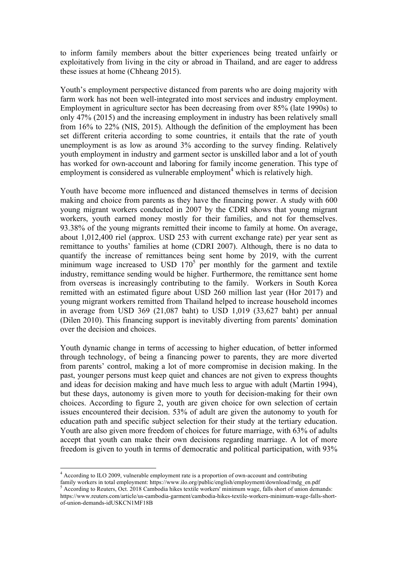to inform family members about the bitter experiences being treated unfairly or exploitatively from living in the city or abroad in Thailand, and are eager to address these issues at home (Chheang 2015).

Youth's employment perspective distanced from parents who are doing majority with farm work has not been well-integrated into most services and industry employment. Employment in agriculture sector has been decreasing from over 85% (late 1990s) to only 47% (2015) and the increasing employment in industry has been relatively small from 16% to 22% (NIS, 2015). Although the definition of the employment has been set different criteria according to some countries, it entails that the rate of youth unemployment is as low as around 3% according to the survey finding. Relatively youth employment in industry and garment sector is unskilled labor and a lot of youth has worked for own-account and laboring for family income generation. This type of employment is considered as vulnerable employment<sup>4</sup> which is relatively high.

Youth have become more influenced and distanced themselves in terms of decision making and choice from parents as they have the financing power. A study with 600 young migrant workers conducted in 2007 by the CDRI shows that young migrant workers, youth earned money mostly for their families, and not for themselves. 93.38% of the young migrants remitted their income to family at home. On average, about 1,012,400 riel (approx. USD 253 with current exchange rate) per year sent as remittance to youths' families at home (CDRI 2007). Although, there is no data to quantify the increase of remittances being sent home by 2019, with the current minimum wage increased to USD  $170^5$  per monthly for the garment and textile industry, remittance sending would be higher. Furthermore, the remittance sent home from overseas is increasingly contributing to the family. Workers in South Korea remitted with an estimated figure about USD 260 million last year (Hor 2017) and young migrant workers remitted from Thailand helped to increase household incomes in average from USD 369 (21,087 baht) to USD 1,019 (33,627 baht) per annual (Dilen 2010). This financing support is inevitably diverting from parents' domination over the decision and choices.

Youth dynamic change in terms of accessing to higher education, of better informed through technology, of being a financing power to parents, they are more diverted from parents' control, making a lot of more compromise in decision making. In the past, younger persons must keep quiet and chances are not given to express thoughts and ideas for decision making and have much less to argue with adult (Martin 1994), but these days, autonomy is given more to youth for decision-making for their own choices. According to figure 2, youth are given choice for own selection of certain issues encountered their decision. 53% of adult are given the autonomy to youth for education path and specific subject selection for their study at the tertiary education. Youth are also given more freedom of choices for future marriage, with 63% of adults accept that youth can make their own decisions regarding marriage. A lot of more freedom is given to youth in terms of democratic and political participation, with 93%

<u> 1989 - Johann Stein, fransk politik (d. 1989)</u>

family workers in total employment: https://www.ilo.org/public/english/employment/download/mdg\_en.pdf 5 According to Reuters, Oct. 2018 Cambodia hikes textile workers' minimum wage, falls short of union demands:

 $4$  According to ILO 2009, vulnerable employment rate is a proportion of own-account and contributing

https://www.reuters.com/article/us-cambodia-garment/cambodia-hikes-textile-workers-minimum-wage-falls-shortof-union-demands-idUSKCN1MF18B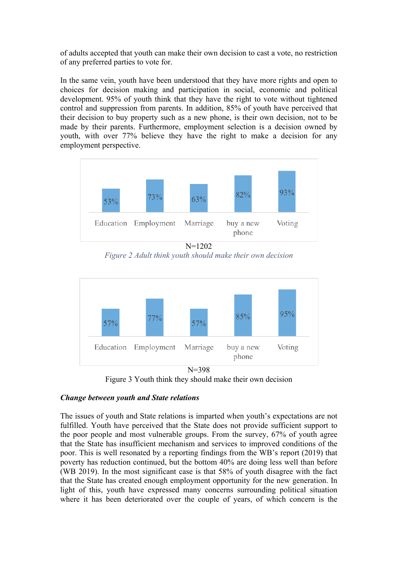of adults accepted that youth can make their own decision to cast a vote, no restriction of any preferred parties to vote for.

In the same vein, youth have been understood that they have more rights and open to choices for decision making and participation in social, economic and political development. 95% of youth think that they have the right to vote without tightened control and suppression from parents. In addition, 85% of youth have perceived that their decision to buy property such as a new phone, is their own decision, not to be made by their parents. Furthermore, employment selection is a decision owned by youth, with over 77% believe they have the right to make a decision for any employment perspective.



N=1202 *Figure 2 Adult think youth should make their own decision*



Figure 3 Youth think they should make their own decision

# *Change between youth and State relations*

The issues of youth and State relations is imparted when youth's expectations are not fulfilled. Youth have perceived that the State does not provide sufficient support to the poor people and most vulnerable groups. From the survey, 67% of youth agree that the State has insufficient mechanism and services to improved conditions of the poor. This is well resonated by a reporting findings from the WB's report (2019) that poverty has reduction continued, but the bottom 40% are doing less well than before (WB 2019). In the most significant case is that 58% of youth disagree with the fact that the State has created enough employment opportunity for the new generation. In light of this, youth have expressed many concerns surrounding political situation where it has been deteriorated over the couple of years, of which concern is the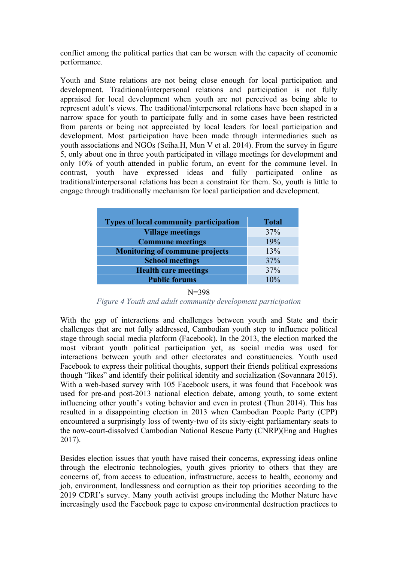conflict among the political parties that can be worsen with the capacity of economic performance.

Youth and State relations are not being close enough for local participation and development. Traditional/interpersonal relations and participation is not fully appraised for local development when youth are not perceived as being able to represent adult's views. The traditional/interpersonal relations have been shaped in a narrow space for youth to participate fully and in some cases have been restricted from parents or being not appreciated by local leaders for local participation and development. Most participation have been made through intermediaries such as youth associations and NGOs (Seiha.H, Mun V et al. 2014). From the survey in figure 5, only about one in three youth participated in village meetings for development and only 10% of youth attended in public forum, an event for the commune level. In contrast, youth have expressed ideas and fully participated online as traditional/interpersonal relations has been a constraint for them. So, youth is little to engage through traditionally mechanism for local participation and development.

| <b>Total</b> |
|--------------|
| 37%          |
| 19%          |
| 13%          |
| 37%          |
| 37%          |
| 10%          |
|              |

#### $N=398$

*Figure 4 Youth and adult community development participation*

With the gap of interactions and challenges between youth and State and their challenges that are not fully addressed, Cambodian youth step to influence political stage through social media platform (Facebook). In the 2013, the election marked the most vibrant youth political participation yet, as social media was used for interactions between youth and other electorates and constituencies. Youth used Facebook to express their political thoughts, support their friends political expressions though "likes" and identify their political identity and socialization (Sovannara 2015). With a web-based survey with 105 Facebook users, it was found that Facebook was used for pre-and post-2013 national election debate, among youth, to some extent influencing other youth's voting behavior and even in protest (Thun 2014). This has resulted in a disappointing election in 2013 when Cambodian People Party (CPP) encountered a surprisingly loss of twenty-two of its sixty-eight parliamentary seats to the now-court-dissolved Cambodian National Rescue Party (CNRP)(Eng and Hughes 2017).

Besides election issues that youth have raised their concerns, expressing ideas online through the electronic technologies, youth gives priority to others that they are concerns of, from access to education, infrastructure, access to health, economy and job, environment, landlessness and corruption as their top priorities according to the 2019 CDRI's survey. Many youth activist groups including the Mother Nature have increasingly used the Facebook page to expose environmental destruction practices to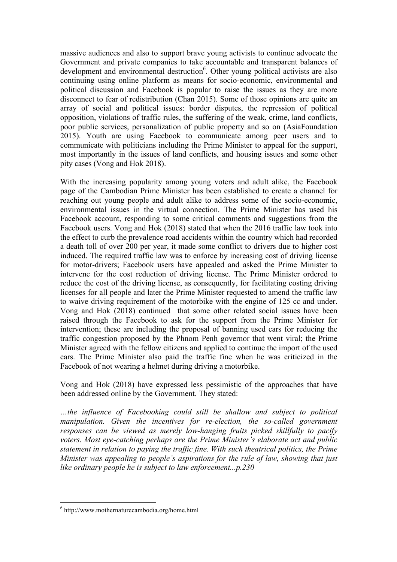massive audiences and also to support brave young activists to continue advocate the Government and private companies to take accountable and transparent balances of development and environmental destruction<sup>6</sup>. Other young political activists are also continuing using online platform as means for socio-economic, environmental and political discussion and Facebook is popular to raise the issues as they are more disconnect to fear of redistribution (Chan 2015). Some of those opinions are quite an array of social and political issues: border disputes, the repression of political opposition, violations of traffic rules, the suffering of the weak, crime, land conflicts, poor public services, personalization of public property and so on (AsiaFoundation 2015). Youth are using Facebook to communicate among peer users and to communicate with politicians including the Prime Minister to appeal for the support, most importantly in the issues of land conflicts, and housing issues and some other pity cases (Vong and Hok 2018).

With the increasing popularity among young voters and adult alike, the Facebook page of the Cambodian Prime Minister has been established to create a channel for reaching out young people and adult alike to address some of the socio-economic, environmental issues in the virtual connection. The Prime Minister has used his Facebook account, responding to some critical comments and suggestions from the Facebook users. Vong and Hok (2018) stated that when the 2016 traffic law took into the effect to curb the prevalence road accidents within the country which had recorded a death toll of over 200 per year, it made some conflict to drivers due to higher cost induced. The required traffic law was to enforce by increasing cost of driving license for motor-drivers; Facebook users have appealed and asked the Prime Minister to intervene for the cost reduction of driving license. The Prime Minister ordered to reduce the cost of the driving license, as consequently, for facilitating costing driving licenses for all people and later the Prime Minister requested to amend the traffic law to waive driving requirement of the motorbike with the engine of 125 cc and under. Vong and Hok (2018) continued that some other related social issues have been raised through the Facebook to ask for the support from the Prime Minister for intervention; these are including the proposal of banning used cars for reducing the traffic congestion proposed by the Phnom Penh governor that went viral; the Prime Minister agreed with the fellow citizens and applied to continue the import of the used cars. The Prime Minister also paid the traffic fine when he was criticized in the Facebook of not wearing a helmet during driving a motorbike.

Vong and Hok (2018) have expressed less pessimistic of the approaches that have been addressed online by the Government. They stated:

*…the influence of Facebooking could still be shallow and subject to political manipulation.* Given the incentives for re-election, the so-called government *responses can be viewed as merely low-hanging fruits picked skillfully to pacify voters. Most eye-catching perhaps are the Prime Minister's elaborate act and public statement in relation to paying the traffic fine. With such theatrical politics, the Prime Minister was appealing to people's aspirations for the rule of law, showing that just like ordinary people he is subject to law enforcement...p.230*

<u> 1989 - Johann Stein, fransk politik (d. 1989)</u>

 $6$  http://www.mothernaturecambodia.org/home.html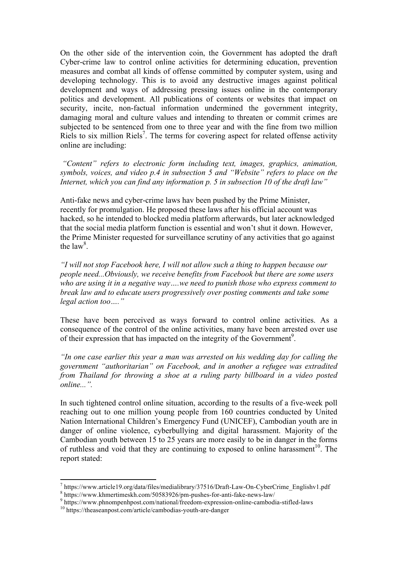On the other side of the intervention coin, the Government has adopted the draft Cyber-crime law to control online activities for determining education, prevention measures and combat all kinds of offense committed by computer system, using and developing technology. This is to avoid any destructive images against political development and ways of addressing pressing issues online in the contemporary politics and development. All publications of contents or websites that impact on security, incite, non-factual information undermined the government integrity, damaging moral and culture values and intending to threaten or commit crimes are subjected to be sentenced from one to three year and with the fine from two million Riels to six million Riels<sup>7</sup>. The terms for covering aspect for related offense activity online are including:

*"Content" refers to electronic form including text, images, graphics, animation, symbols, voices, and video p.4 in subsection 5 and "Website" refers to place on the Internet, which you can find any information p. 5 in subsection 10 of the draft law"*

Anti-fake news and cyber-crime laws hav been pushed by the Prime Minister, recently for promulgation. He proposed these laws after his official account was hacked, so he intended to blocked media platform afterwards, but later acknowledged that the social media platform function is essential and won't shut it down. However, the Prime Minister requested for surveillance scrutiny of any activities that go against the  $law<sup>8</sup>$ .

*"I will not stop Facebook here, I will not allow such a thing to happen because our people need...Obviously, we receive benefits from Facebook but there are some users who are using it in a negative way….we need to punish those who express comment to break law and to educate users progressively over posting comments and take some legal action too…."*

These have been perceived as ways forward to control online activities. As a consequence of the control of the online activities, many have been arrested over use of their expression that has impacted on the integrity of the Government<sup>9</sup>.

*"In one case earlier this year a man was arrested on his wedding day for calling the government "authoritarian" on Facebook, and in another a refugee was extradited from Thailand for throwing a shoe at a ruling party billboard in a video posted online...".*

In such tightened control online situation, according to the results of a five-week poll reaching out to one million young people from 160 countries conducted by United Nation International Children's Emergency Fund (UNICEF), Cambodian youth are in danger of online violence, cyberbullying and digital harassment. Majority of the Cambodian youth between 15 to 25 years are more easily to be in danger in the forms of ruthless and void that they are continuing to exposed to online harassment<sup>10</sup>. The report stated:

 

 $^7$  https://www.article19.org/data/files/medialibrary/37516/Draft-Law-On-CyberCrime\_Englishv1.pdf<br>  $^8$  https://www.khmertimeskh.com/50583926/pm-pushes-for-anti-fake-news-law/<br>  $^9$  https://www.phnompenhpost.com/national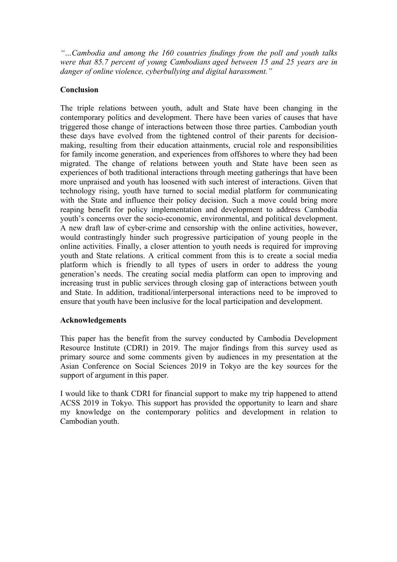*"…Cambodia and among the 160 countries findings from the poll and youth talks were that 85.7 percent of young Cambodians aged between 15 and 25 years are in danger of online violence, cyberbullying and digital harassment."*

# **Conclusion**

The triple relations between youth, adult and State have been changing in the contemporary politics and development. There have been varies of causes that have triggered those change of interactions between those three parties. Cambodian youth these days have evolved from the tightened control of their parents for decisionmaking, resulting from their education attainments, crucial role and responsibilities for family income generation, and experiences from offshores to where they had been migrated. The change of relations between youth and State have been seen as experiences of both traditional interactions through meeting gatherings that have been more unpraised and youth has loosened with such interest of interactions. Given that technology rising, youth have turned to social medial platform for communicating with the State and influence their policy decision. Such a move could bring more reaping benefit for policy implementation and development to address Cambodia youth's concerns over the socio-economic, environmental, and political development. A new draft law of cyber-crime and censorship with the online activities, however, would contrastingly hinder such progressive participation of young people in the online activities. Finally, a closer attention to youth needs is required for improving youth and State relations. A critical comment from this is to create a social media platform which is friendly to all types of users in order to address the young generation's needs. The creating social media platform can open to improving and increasing trust in public services through closing gap of interactions between youth and State. In addition, traditional/interpersonal interactions need to be improved to ensure that youth have been inclusive for the local participation and development.

# **Acknowledgements**

This paper has the benefit from the survey conducted by Cambodia Development Resource Institute (CDRI) in 2019. The major findings from this survey used as primary source and some comments given by audiences in my presentation at the Asian Conference on Social Sciences 2019 in Tokyo are the key sources for the support of argument in this paper.

I would like to thank CDRI for financial support to make my trip happened to attend ACSS 2019 in Tokyo. This support has provided the opportunity to learn and share my knowledge on the contemporary politics and development in relation to Cambodian youth.